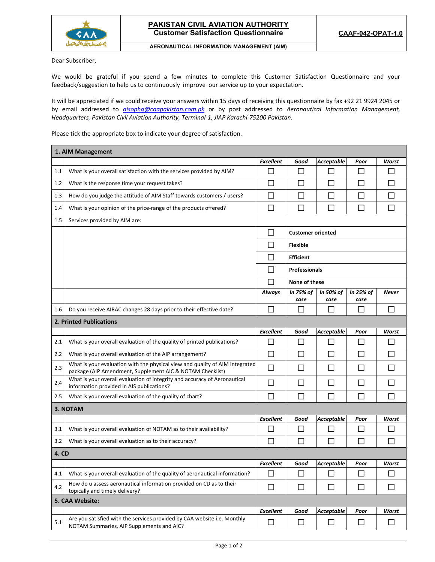

## **AERONAUTICAL INFORMATION MANAGEMENT (AIM)**

Dear Subscriber,

We would be grateful if you spend a few minutes to complete this Customer Satisfaction Questionnaire and your feedback/suggestion to help us to continuously improve our service up to your expectation.

It will be appreciated if we could receive your answers within 15 days of receiving this questionnaire by fax +92 21 9924 2045 or by email addressed to *aisophq@caapakistan.com.pk* or by post addressed to *Aeronautical Information Management, Headquarters, Pakistan Civil Aviation Authority, Terminal‐1, JIAP Karachi‐75200 Pakistan.* 

Please tick the appropriate box to indicate your degree of satisfaction.

| 1. AIM Management       |                                                                                                                                           |                  |                          |                          |                   |                |  |  |
|-------------------------|-------------------------------------------------------------------------------------------------------------------------------------------|------------------|--------------------------|--------------------------|-------------------|----------------|--|--|
|                         |                                                                                                                                           | <b>Excellent</b> | Good                     | <b>Acceptable</b>        | Poor              | Worst          |  |  |
| 1.1                     | What is your overall satisfaction with the services provided by AIM?                                                                      |                  | $\mathsf{L}$             |                          | $\mathsf{L}$      | $\mathsf{L}$   |  |  |
| 1.2                     | What is the response time your request takes?                                                                                             | $\mathcal{L}$    | $\mathsf{L}$             | П                        | П                 | П              |  |  |
| 1.3                     | How do you judge the attitude of AIM Staff towards customers / users?                                                                     | $\Box$           | П                        | П                        | $\Box$            | $\Box$         |  |  |
| 1.4                     | What is your opinion of the price-range of the products offered?                                                                          | $\Box$           | П                        | П                        | П                 | $\Box$         |  |  |
| 1.5                     | Services provided by AIM are:                                                                                                             |                  |                          |                          |                   |                |  |  |
|                         |                                                                                                                                           | П                | <b>Customer oriented</b> |                          |                   |                |  |  |
|                         |                                                                                                                                           |                  | <b>Flexible</b>          |                          |                   |                |  |  |
|                         |                                                                                                                                           |                  | <b>Efficient</b>         |                          |                   |                |  |  |
|                         |                                                                                                                                           | $\mathbf{L}$     | <b>Professionals</b>     |                          |                   |                |  |  |
|                         |                                                                                                                                           | $\mathcal{L}$    | None of these            |                          |                   |                |  |  |
|                         |                                                                                                                                           | Always           | In 75% of<br>case        | In 50% of<br>case        | In 25% of<br>case | <b>Never</b>   |  |  |
| 1.6                     | Do you receive AIRAC changes 28 days prior to their effective date?                                                                       | П                | $\Box$                   | П                        | $\Box$            | П              |  |  |
| 2. Printed Publications |                                                                                                                                           |                  |                          |                          |                   |                |  |  |
|                         |                                                                                                                                           | <b>Excellent</b> | Good                     | <b>Acceptable</b>        | Poor              | Worst          |  |  |
| 2.1                     | What is your overall evaluation of the quality of printed publications?                                                                   |                  | $\mathbb{R}^n$           |                          | $\mathsf{L}$      | $\mathbb{R}^n$ |  |  |
| 2.2                     | What is your overall evaluation of the AIP arrangement?                                                                                   | $\Box$           | П                        | $\Box$                   | П                 | П              |  |  |
| 2.3                     | What is your evaluation with the physical view and quality of AIM Integrated<br>package (AIP Amendment, Supplement AIC & NOTAM Checklist) | П                | $\mathsf{L}$             |                          | П                 | П              |  |  |
| 2.4                     | What is your overall evaluation of integrity and accuracy of Aeronautical<br>information provided in AIS publications?                    | П                | П                        | $\mathbf{I}$             | П                 | П              |  |  |
| 2.5                     | What is your overall evaluation of the quality of chart?                                                                                  | П                | П                        | П                        | $\Box$            | $\Box$         |  |  |
| 3. NOTAM                |                                                                                                                                           |                  |                          |                          |                   |                |  |  |
|                         |                                                                                                                                           | <b>Excellent</b> | Good                     | <b>Acceptable</b>        | Poor              | Worst          |  |  |
| 3.1                     | What is your overall evaluation of NOTAM as to their availability?                                                                        | П                | П                        | $\overline{\phantom{0}}$ | $\Box$            | $\Box$         |  |  |
| 3.2                     | What is your overall evaluation as to their accuracy?                                                                                     | П                | $\Box$                   | П                        | П                 | □              |  |  |
| <b>4. CD</b>            |                                                                                                                                           |                  |                          |                          |                   |                |  |  |
|                         |                                                                                                                                           | Excellent        | Good                     | Acceptable               | Poor              | Worst          |  |  |
| 4.1                     | What is your overall evaluation of the quality of aeronautical information?                                                               | $\Box$           | $\Box$                   | $\mathsf{L}$             | $\Box$            | $\Box$         |  |  |
| 4.2                     | How do u assess aeronautical information provided on CD as to their<br>topically and timely delivery?                                     | $\Box$           | □                        | $\Box$                   | $\Box$            | $\Box$         |  |  |
| 5. CAA Website:         |                                                                                                                                           |                  |                          |                          |                   |                |  |  |
|                         |                                                                                                                                           | <b>Excellent</b> | Good                     | <b>Acceptable</b>        | Poor              | Worst          |  |  |
| 5.1                     | Are you satisfied with the services provided by CAA website i.e. Monthly<br>NOTAM Summaries, AIP Supplements and AIC?                     | $\Box$           | $\Box$                   | $\Box$                   | $\Box$            | $\Box$         |  |  |